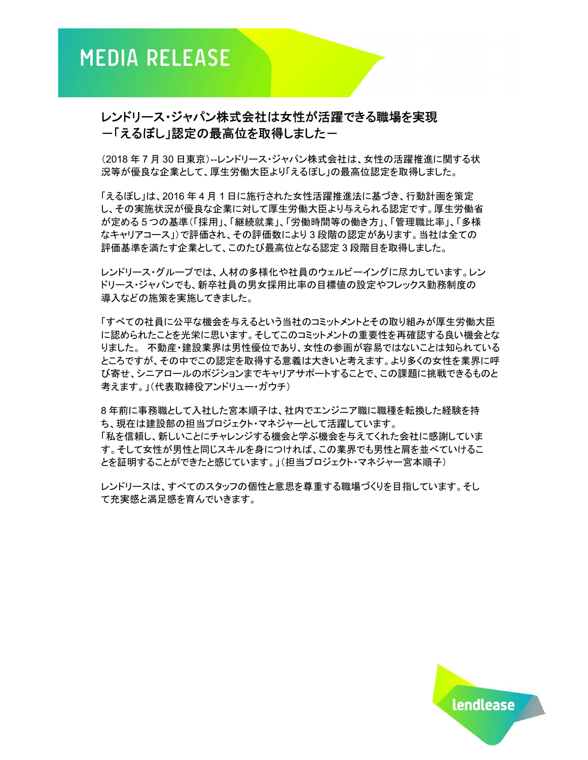## レンドリース・ジャパン株式会社は女性が活躍できる職場を実現 ー「えるぼし」認定の最高位を取得しましたー

(2018 年 7 月 30 日東京)--レンドリース・ジャパン株式会社は、女性の活躍推進に関する状 況等が優良な企業として、厚生労働大臣より「えるぼし」の最高位認定を取得しました。

「えるぼし」は、2016 年 4 月 1 日に施行された女性活躍推進法に基づき、行動計画を策定 し、その実施状況が優良な企業に対して厚生労働大臣より与えられる認定です。厚生労働省 が定める 5 つの基準(「採用」、「継続就業」、「労働時間等の働き方」、「管理職比率」、「多様 なキャリアコース」)で評価され、その評価数により 3 段階の認定があります。当社は全ての 評価基準を満たす企業として、このたび最高位となる認定 3 段階目を取得しました。

レンドリース・グループでは、人材の多様化や社員のウェルビーイングに尽力しています。レン ドリース・ジャパンでも、新卒社員の男女採用比率の目標値の設定やフレックス勤務制度の 導入などの施策を実施してきました。

「すべての社員に公平な機会を与えるという当社のコミットメントとその取り組みが厚生労働大臣 に認められたことを光栄に思います。そしてこのコミットメントの重要性を再確認する良い機会とな りました。 不動産・建設業界は男性優位であり、女性の参画が容易ではないことは知られている ところですが、その中でこの認定を取得する意義は大きいと考えます。より多くの女性を業界に呼 び寄せ、シニアロールのポジションまでキャリアサポートすることで、この課題に挑戦できるものと 考えます。」(代表取締役アンドリュー・ガウチ)

8 年前に事務職として入社した宮本順子は、社内でエンジニア職に職種を転換した経験を持 ち、現在は建設部の担当プロジェクト・マネジャーとして活躍しています。 「私を信頼し、新しいことにチャレンジする機会と学ぶ機会を与えてくれた会社に感謝していま す。そして女性が男性と同じスキルを身につければ、この業界でも男性と肩を並べていけるこ とを証明することができたと感じています。」(担当プロジェクト・マネジャー宮本順子)

レンドリースは、すべてのスタッフの個性と意思を尊重する職場づくりを目指しています。そし て充実感と満足感を育んでいきます。

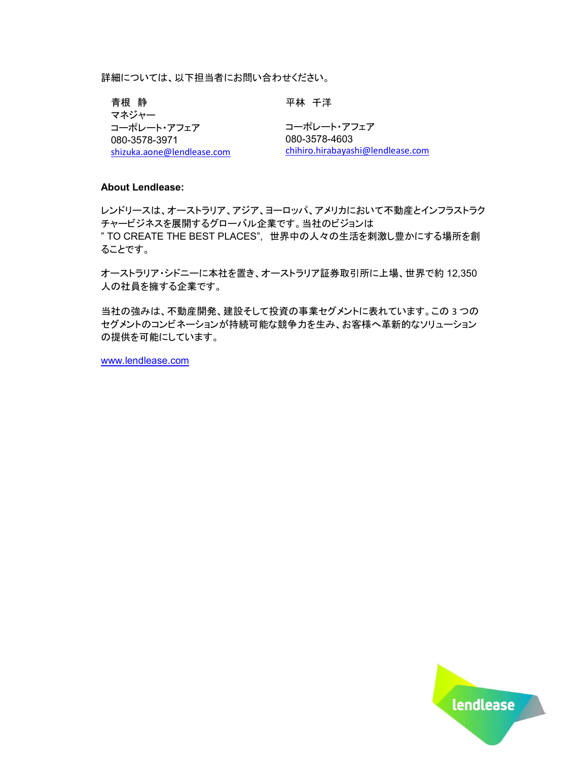詳細については、以下担当者にお問い合わせください。

青根 静 マネジャー コーポレート・アフェア 080-3578-3971 shizuka.aone@lendlease.com 平林 千洋 コーポレート・アフェア 080-3578-4603

chihiro.hirabayashi@lendlease.com

#### About Lendlease:

レンドリースは、オーストラリア、アジア、ヨーロッパ、アメリカにおいて不動産とインフラストラク チャービジネスを展開するグローバル企業です。当社のビジョンは " TO CREATE THE BEST PLACES", 世界中の人々の生活を刺激し豊かにする場所を創 ることです。

オーストラリア・シドニーに本社を置き、オーストラリア証券取引所に上場、世界で約 12,350 人の社員を擁する企業です。

当社の強みは、不動産開発、建設そして投資の事業セグメントに表れています。この 3 つの セグメントのコンビネーションが持続可能な競争力を生み、お客様へ革新的なソリューション の提供を可能にしています。

www.lendlease.com

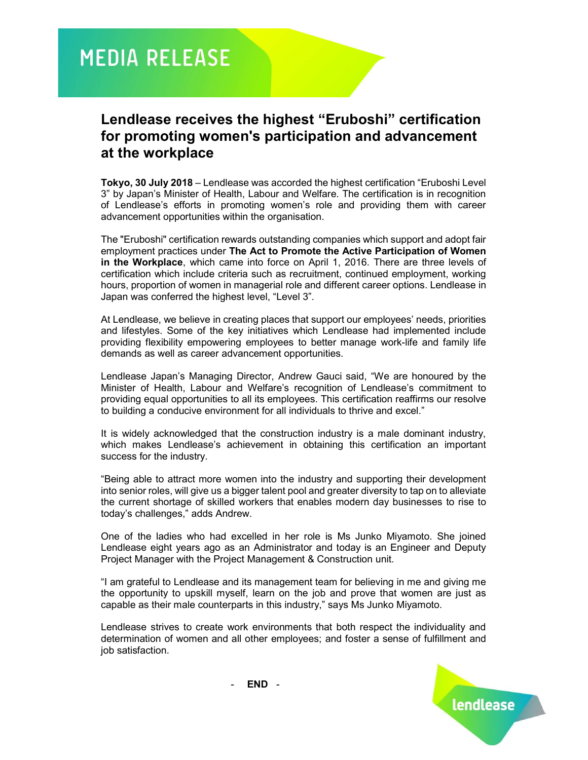# **MEDIA RELEASE**

## Lendlease receives the highest "Eruboshi" certification for promoting women's participation and advancement at the workplace

Tokyo, 30 July 2018 – Lendlease was accorded the highest certification "Eruboshi Level 3" by Japan's Minister of Health, Labour and Welfare. The certification is in recognition of Lendlease's efforts in promoting women's role and providing them with career advancement opportunities within the organisation.

The "Eruboshi" certification rewards outstanding companies which support and adopt fair employment practices under The Act to Promote the Active Participation of Women in the Workplace, which came into force on April 1, 2016. There are three levels of certification which include criteria such as recruitment, continued employment, working hours, proportion of women in managerial role and different career options. Lendlease in Japan was conferred the highest level, "Level 3".

At Lendlease, we believe in creating places that support our employees' needs, priorities and lifestyles. Some of the key initiatives which Lendlease had implemented include providing flexibility empowering employees to better manage work-life and family life demands as well as career advancement opportunities.

Lendlease Japan's Managing Director, Andrew Gauci said, "We are honoured by the Minister of Health, Labour and Welfare's recognition of Lendlease's commitment to providing equal opportunities to all its employees. This certification reaffirms our resolve to building a conducive environment for all individuals to thrive and excel."

It is widely acknowledged that the construction industry is a male dominant industry, which makes Lendlease's achievement in obtaining this certification an important success for the industry.

"Being able to attract more women into the industry and supporting their development into senior roles, will give us a bigger talent pool and greater diversity to tap on to alleviate the current shortage of skilled workers that enables modern day businesses to rise to today's challenges," adds Andrew.

One of the ladies who had excelled in her role is Ms Junko Miyamoto. She joined Lendlease eight years ago as an Administrator and today is an Engineer and Deputy Project Manager with the Project Management & Construction unit.

"I am grateful to Lendlease and its management team for believing in me and giving me the opportunity to upskill myself, learn on the job and prove that women are just as capable as their male counterparts in this industry," says Ms Junko Miyamoto.

Lendlease strives to create work environments that both respect the individuality and determination of women and all other employees; and foster a sense of fulfillment and job satisfaction.